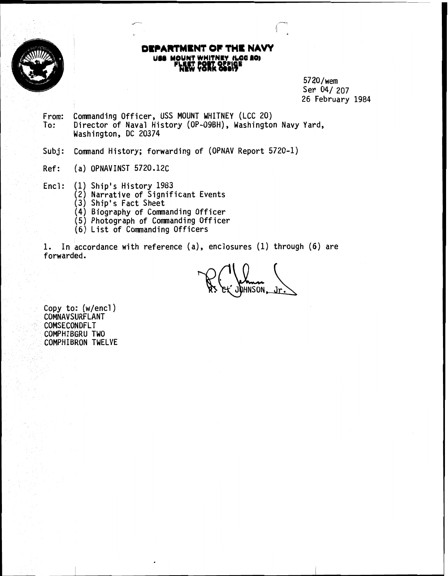

# **I** OF THE NAVY **BE MOUNT WHITNEY (LGG 20)**<br>**PLEET POST OFFICE**

 $5720/\text{wem}$ <br>Sen 04/207 26 February 1984

- From: Commanding Officer, USS MOUNT WHITNEY (LCC 20) To: Director of Naval History (OP-09BH) , Washington Navy Yard, Washington, DC 20374
- Subj: Command History; forwarding of (OPNAV Report 5720-1)
- Ref: (a) OPNAV INST 5720.12C
- Encl: (1) Ship's History 1983
	- (2) Narrative of Significant Events
	- (3) Ship's Fact Sheet
	- (4) Biography of Commanding Officer
	- 1(5) Photograph of Comnanding Officer
	- (6) List of Commanding Officers

1. In accordance with reference (a), enclosures (1) through (6) are forwarded.

**DHNSON.** 

Copy to: (w/encl) COMNAVSURFLANT COMSECONDFLT COMPHIBGRU TWO COMPHIBRON TWELVE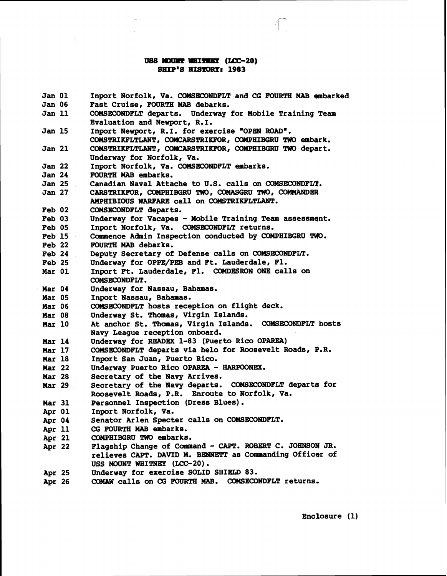## **USS MOUNT WHITNEY (LCC-20) SHIP'S** *HImt* **1983**

 $\sqrt{2}$ 

| <b>Jan 01</b> | Inport Norfolk, Va. COMSECONDFLT and CG FOURTH MAB embarked                                                          |  |  |
|---------------|----------------------------------------------------------------------------------------------------------------------|--|--|
| <b>Jan 06</b> | Fast Cruise, FOURTH MAB debarks.                                                                                     |  |  |
| Jan 11        | COMSECONDFLT departs. Underway for Mobile Training Team                                                              |  |  |
|               | Evaluation and Newport, R.I.                                                                                         |  |  |
| <b>Jan 15</b> | Inport Newport, R.I. for exercise "OPEN ROAD".                                                                       |  |  |
|               | COMSTRIKFLTLANT, COMCARSTRIKFOR, COMPHIBGRU TWO embark.                                                              |  |  |
| <b>Jan 21</b> | COMSTRIKFLTLANT, COMCARSTRIKFOR, COMPHIBGRU TWO depart.                                                              |  |  |
|               | Underway for Norfolk, Va.                                                                                            |  |  |
| <b>Jan 22</b> | Inport Norfolk, Va. COMSECONDFLT embarks.                                                                            |  |  |
| <b>Jan 24</b> | FOURTH MAB embarks.                                                                                                  |  |  |
| <b>Jan 25</b> | Canadian Naval Attache to U.S. calls on COMSECONDFLT.                                                                |  |  |
| <b>Jan 27</b> | CARSTRIKFOR, COMPHIBGRU TWO, COMASGRU TWO, COMMANDER                                                                 |  |  |
|               | AMPHIBIOUS WARFARE call on COMSTRIKFLTLANT.                                                                          |  |  |
| Feb 02        | COMSECONDFLT departs.                                                                                                |  |  |
| Feb 03        | Underway for Vacapes - Mobile Training Team assessment.                                                              |  |  |
| <b>Feb 05</b> | Inport Norfolk, Va. COMSECONDFLT returns.                                                                            |  |  |
| Feb 15        | Commence Admin Inspection conducted by COMPHIBGRU TWO.                                                               |  |  |
| $Peb$ 22      | FOURTH MAB debarks.                                                                                                  |  |  |
| <b>Feb 24</b> | Deputy Secretary of Defense calls on COMSECONDFLT.                                                                   |  |  |
| <b>Feb 25</b> | Underway for OPPE/PEB and Ft. Lauderdale, Fl.                                                                        |  |  |
| Mar 01        | Inport Ft. Lauderdale, Fl. COMDESRON ONE calls on                                                                    |  |  |
|               | COMSECONDFLT.                                                                                                        |  |  |
| Mar 04        | Underway for Nassau, Bahamas.                                                                                        |  |  |
| Mar 05        | Inport Nassau, Bahamas.                                                                                              |  |  |
| <b>Mar 06</b> | COMSECONDFLT hosts reception on flight deck.                                                                         |  |  |
| Mar 08        | Underway St. Thomas, Virgin Islands.                                                                                 |  |  |
| <b>Mar 10</b> | At anchor St. Thomas, Virgin Islands.<br><b>COMSECONDFLT</b> hosts                                                   |  |  |
|               | Navy League reception onboard.                                                                                       |  |  |
| <b>Mar 14</b> | Underway for READEX 1-83 (Puerto Rico OPAREA)                                                                        |  |  |
| <b>Mar 17</b> | COMSECONDFLT departs via helo for Roosevelt Roads, P.R.                                                              |  |  |
| <b>Mar 18</b> | Inport San Juan, Puerto Rico.                                                                                        |  |  |
| <b>Mar 22</b> | Underway Puerto Rico OPAREA - HARPOONEX.                                                                             |  |  |
| <b>Mar 28</b> | Secretary of the Navy Arrives.                                                                                       |  |  |
| <b>Mar 29</b> | Secretary of the Navy departs. COMSECONDFLT departs for                                                              |  |  |
|               | Roosevelt Roads, P.R. Enroute to Norfolk, Va.                                                                        |  |  |
| <b>Mar 31</b> | Personnel Inspection (Dress Blues).                                                                                  |  |  |
| Apr 01        | Inport Norfolk, Va.                                                                                                  |  |  |
| Apr 04        | Senator Arlen Specter calls on COMSECONDFLT.                                                                         |  |  |
| Apr 11        | CG FOURTH MAB embarks.<br>COMPHIBGRU TWO embarks.                                                                    |  |  |
| Apr 21        |                                                                                                                      |  |  |
| Apr 22        | Flagship Change of Command - CAPT. ROBERT C. JOHNSON JR.<br>relieves CAPT. DAVID M. BENNETT as Commanding Officer of |  |  |
|               | USS MOUNT WHITNEY (LCC-20).                                                                                          |  |  |
|               | Underway for exercise SOLID SHIELD 83.                                                                               |  |  |
| Apr 25        | COMAW calls on CG FOURTH MAB.<br>COMSECONDFLT returns.                                                               |  |  |
| Apr 26        |                                                                                                                      |  |  |

 $\lambda$ 

 $\cdot$ 

 $\begin{array}{c} \hline \end{array}$ 

Enclosure (1)

 $\frac{1}{4}$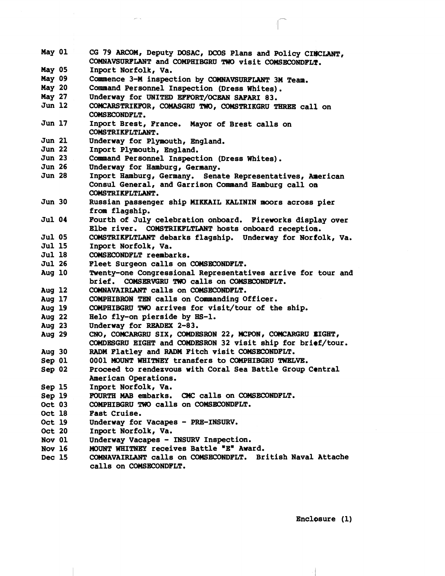**May 01 May 05 May 09 May 20 May 27 Jun 12 Jun 17 Jun 21 Jun 22 Jun 23 Jun 26 Jun 28 Jun 30 Jul 04 Jul 05 Jul 15 Jul 18 Jul 26 Aug 10 Aug 12 Aug 17 Aug 19 Aug 22 Aug 23 Aug 29 Aug 30 Sep 01 Sep 02 Sep 15 Sep 19 Oct 03 Oct 18 Oct 19 Oct 20 Nov 01 Nov 16 Dec 15 CG 79 Am, Deputy DOSAC, DOOS Plans and Policy CIWLANT,**  COMNAVSURFLANT and COMPHIBGRU TWO visit COMSECONDFLT. **Inport Norfolk, Va.**  Commence 3-M inspection by COMNAVSURFLANT 3M Team. **Command Personnel Inspection (Dress Whites). Underway for UNITED EFFORT/OCEAN SAFARI 83.**  COMCARSTRIKFOR, COMASGRU TWO, COMSTRIKGRU THREE call on<br>COMSECONDFLT.<br>Inport Brest, France. Mayor of Brest calls on **COMSTRIKFLTLANT. Underway for Plymouth, England. Inport Plymouth, England. Command Personnel Inspection (Dress Whites). Underway for Hamburg, Gernany.**  Inport Hamburg, Germany. Senate Representatives, American **Consul General, and Garrison Coxmaand Hamburg call on COMSTRIKFLTLANT.**  Russian passenger ship MIKKAIL KALININ moors across pier **from flagship. Fourth of July celebration onboard. Fireworks display over Elbe river. COMSTRIKFLTLANT hosts onboard reception. COMSTRIKFLTLMT debarks flagship. Underway for Norfolk, Va. Inport Norfolk, Va. COMSECONDFLT reembarks.**  Fleet Surgeon calls on COMSECONDFLT. **Twenty-one Congressional Representatives arrive for tour and brief. COMSERVGRU** 'RJD **calls on COHSECONDFLT. COMNAVAIRLANT calls on COMSECONDFLT. COMPHIBRON TEN calls on Caamaanding Officer.**  COMPHIBGRU TWO arrives for visit/tour of the ship. **Helo fly-on pierside by HS-1. Underway for READEX 2-83.**  CNO, COMCARGRU SIX, COMDESRON 22, MCPON, COMCARGRU EIGHT, **COMDESGRU EIGHT and COMDESRON 32 visit ship for bri@f/tour. RADn Flatley and RADM Fitch visit COWSECONDFLT. 0001 MOUNT WHITNEY transfers to COMPHIBGRU** TWELVE. **Proceed to rendezvous with Coral Sea Battle Group Central American Operations. Inport Norfolk, Va. FOURTH MAB embarks. CMC calls on COMSECONDFLT. COMPHIBGRU** TWO **calls on COMSECONDFLT. Fast Cruise.**  Underway for Vacapes - PRE-INSURV. **Inport Norfolk, Va. Underway Vacapes** - **INSURV Inspection. MOUNT WHITNEY receives Battle "E" Award. COMNAVAIRLANT calls on COMSECONDFLT. British Naval Attache calls on COMSECONDFLT.** 

**Enclosure (1)**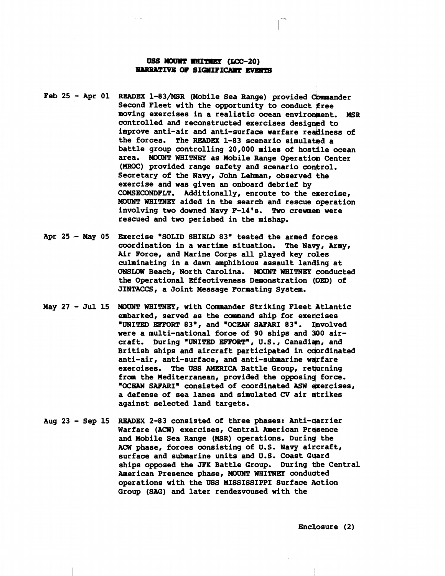#### USS MOUNT WHITHEY (LCC-20) **NARRATIVE OF SIGNIFICANT EVENTS**

- **Feb 25 Apr 01 READEX 1-83/MSR (Mobile Sea Range) provided Cbmmander Second Fleet with the opportunity to conduct free moving exercises in a realistic ocean enviroment. MSR**  controlled and reconstructed exercises designed to **improve anti-air and anti-surface warfare redineas of**  the forces. The READEX 1-83 scenario simulated a **battle group controlling 20,000 miles of hostile ocean area. MOUNT WHITNEY as Mobile Range Operaticmi Center (MROC) provided range safety and scenario coqkrol. Secretary of the Navy, John Lehman, observed the exercise and was given an onboard debrief by**  COMSECONDFLT. Additionally, enroute to the exercise, **MOm WHITNEY aided in the search and rescue operation**  involving two downed Navy F-14's. Two crewmen were **rescued and two perished in the mishap.**
- **Apr 25 Nay 05 Exercise "SOLID SHIELD 83" tested the armed fiorces coordination in a wartime situation. The Navp, Army,**  Air Force, and Marine Corps all played key roles **culminating in a dawn amphibious assault landing at 0NSU)W Beach, North Carolina. MOUNT WHITNEY conducted the Operational Effectiveness Demonstration (Dm) of JINTACCS, a Joint Message Formating System.**
- **May 27 Jul 15 MOUNT WHITNEY, with Commander Striking Fleet Atlantic embarked, served as the command ship for exercises "UNITED EFFORT 83., and "OCEAN SAFARI 83". Ilnvolved were a multi-national force of 90 ships and 300 air**craft. During "UNITED EFFORT", U.S., Canadian, and British ships and aircraft participated in coordinated anti-air, anti-surface, and anti-submarine warfare exercises. The USS AMERICA Battle Group, returning **£ran the Mediterranean, provided the opposinq force. .OCEAN SAFARIw consisted of coordinated ASW @xercises, a defense of sea lanes and simulated CV air atrikes against selected land targets.**
- **Aug 23 Sep 15 READEX 2-83 consisted of three phases: Anti-qarrier**  Warfare (ACW) exercises, Central American Presence **and Mobile Sea Range (MSR) operations. Durinq the**  ACW phase, forces consisting of U.S. Navy aircraft, **surface and submarine units and U.S. Coast Gqard**  ships opposed the JFK Battle Group. During the Central **American Presence phase, MOUNT WHITNEP conduqted**  operations with the USS MISSISSIPPI Surface Action **Group (SAG) and later rendezvoused with the**

**Enclosure (2)**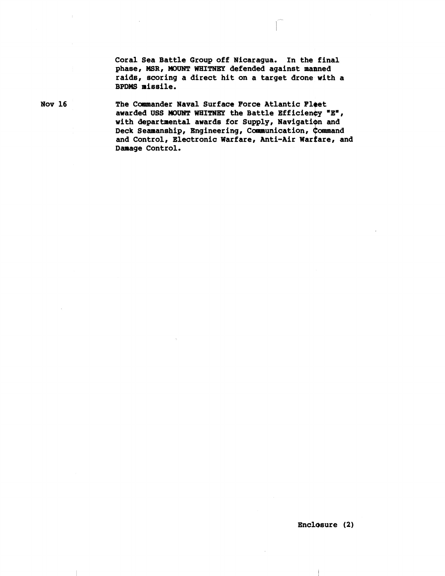Coral Sea Battle Group off Nicaragua. In the final phase, MSR, MOUNT WHITNEY defended against manned raids, scoring a direct hit on a target drone with a BPDMS missile.

Nov 16

The Commander Naval Surface Force Atlantic Fleet awarded USS MOUNT WHITNEY the Battle Efficiency "E", with departmental awards for Supply, Navigation and Deck Seamanship, Engineering, Communication, Command and Control, Electronic Warfare, Anti-Air Warfare, and Damage Control.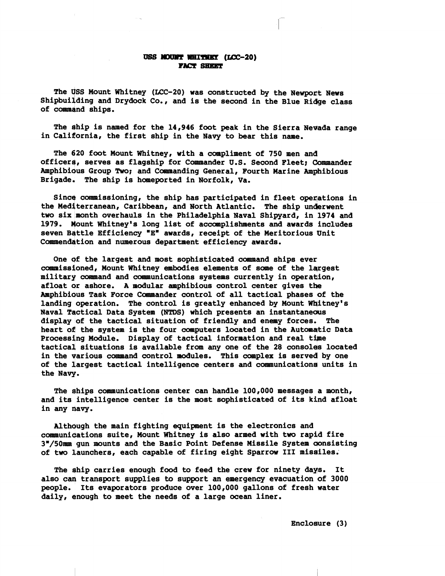#### USS MOUNT WHITNEY (LCC-20) **FACT SHKKT**

The USS Mount Whitney (LCC-20) was constructed by the Newport News Shipbuilding and Drydock Co., and is the second in the Blue Ridge class **of comqnd ships.** 

**The \$hip is named for the 14,946 foot peak in the Sierra Newada range**  in California, the first ship in the Navy to bear this name.

**The 6120 foot Mount Whitney, with a compliment of 750 men and officer\$, serves as flagship for Commander U.S. Second Fleet; mander Amphibious Group Two; and Cammanding General, Fourth Marine Amphibious Brigade. The ship is hameported in Norfolk, Va.** 

Since commissioning, the ship has participated in fleet openations in **the Mediterranean, Caribbean, and North Atlantic. The ship unikrwent two six month overhauls in the Philadelphia Naval Shipyard, in 1974 and**  1979. Mount Whitney's long list of accomplishments and awards includes **seven Battle Efficiency "Em awards, receipt of the Meritorious Unit**  Commendation and numerous department efficiency awards.

One of the largest and most sophisticated command ships ever **commissioned, Mount Whitney embodies elements of some of the lqrgest military command and cummunications systems currently in operatrion,**  afloat or ashore. A modular amphibious control center gives the **AaphibiOus Task Force Commander control of all tactical phases of the**  landing operation. The control is greatly enhanced by Mount Whitney's Naval Tactical Data System (NTDS) which presents an instantaneous **display of the tactical situation of friendly and enemy forces. The heart 04 the system is the four computers located in the Automatic Data**  Processing Module. Display of tactical information and real time tactical situations is available from any one of the 28 consoles located **in the qarious command control modules. This complex is served by one of the largest tactical intelligence centers and comenunicationa units in**  the Navy.

**The ships communications center can handle 100,000 messages a month, and its intelligence center is the most sophisticated of its kind afloat in any navy.** 

**Although the main fighting equipment is the electronics and caanaunications suite, Mount Whitney is also armed with two rapid fire 3"/50nmr gun mounts and the Basic Point Defense Missile System gonsisting of two launchers, each capable of firing eight Sparrow I11 missiles.** 

**The ship carries enough food to feed the crew for ninety days. It also can transport supplies to support an emergency evacuation of 3000 people. Its evaporators produce over 100,000 gallons of fresh water daily, enough to meet the needs of a large ocean liner.**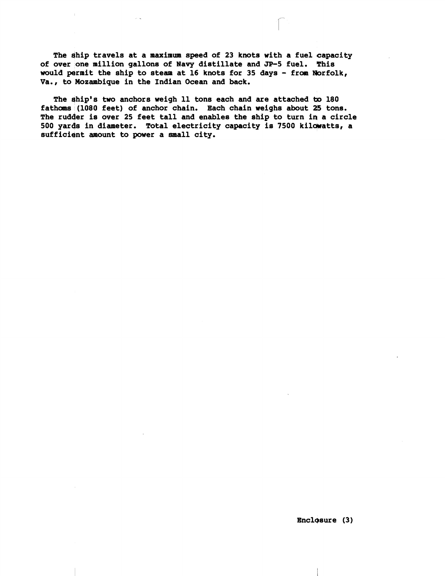**The dhip travels at a maximum speed of 23 knots with a fuel capacity of over one million gallons of Navy distillate and JP-5 fuel. This**  would permit the ship to steam at 16 knots for 35 days - from Norfolk, **Va., to Mozambique in the Indian Ocean and back.** 

The ship's two anchors weigh 11 tons each and are attached to 180 **fathoms (1080 feet) of anchor chain. Each chain weighs about a5 tons. The rudder is over 25 feet tall and enables the ship to turn in a circle 500 yards in diameter. Total electricity capacity is 7500 kilwatts, a sufficient amount to power a small city.**